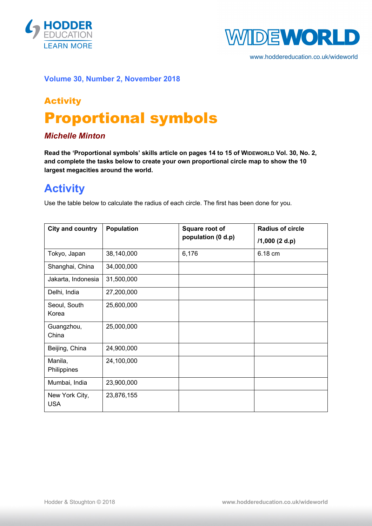



www.hoddereducation.co.uk/wideworld

#### **Volume 30, Number 2, November 2018**

# Activity Proportional symbols

### *Michelle Minton*

**Read the 'Proportional symbols' skills article on pages 14 to 15 of WIDEWORLD Vol. 30, No. 2, and complete the tasks below to create your own proportional circle map to show the 10 largest megacities around the world.**

### **Activity**

Use the table below to calculate the radius of each circle. The first has been done for you.

| <b>City and country</b>      | <b>Population</b> | Square root of<br>population (0 d.p) | <b>Radius of circle</b><br>$/1,000$ (2 d.p) |
|------------------------------|-------------------|--------------------------------------|---------------------------------------------|
| Tokyo, Japan                 | 38,140,000        | 6,176                                | 6.18 cm                                     |
| Shanghai, China              | 34,000,000        |                                      |                                             |
| Jakarta, Indonesia           | 31,500,000        |                                      |                                             |
| Delhi, India                 | 27,200,000        |                                      |                                             |
| Seoul, South<br>Korea        | 25,600,000        |                                      |                                             |
| Guangzhou,<br>China          | 25,000,000        |                                      |                                             |
| Beijing, China               | 24,900,000        |                                      |                                             |
| Manila,<br>Philippines       | 24,100,000        |                                      |                                             |
| Mumbai, India                | 23,900,000        |                                      |                                             |
| New York City,<br><b>USA</b> | 23,876,155        |                                      |                                             |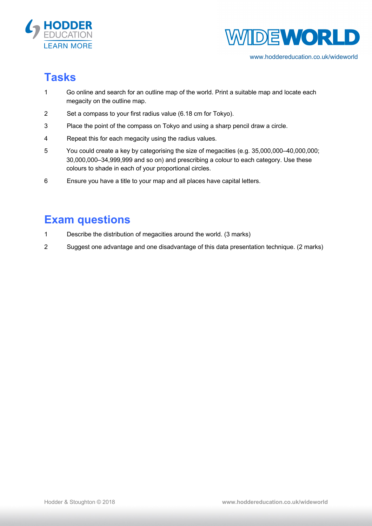



www.hoddereducation.co.uk/wideworld

# **Tasks**

- 1 Go online and search for an outline map of the world. Print a suitable map and locate each megacity on the outline map.
- 2 Set a compass to your first radius value (6.18 cm for Tokyo).
- 3 Place the point of the compass on Tokyo and using a sharp pencil draw a circle.
- 4 Repeat this for each megacity using the radius values.
- 5 You could create a key by categorising the size of megacities (e.g. 35,000,000–40,000,000; 30,000,000–34,999,999 and so on) and prescribing a colour to each category. Use these colours to shade in each of your proportional circles.
- 6 Ensure you have a title to your map and all places have capital letters.

## **Exam questions**

- 1 Describe the distribution of megacities around the world. (3 marks)
- 2 Suggest one advantage and one disadvantage of this data presentation technique. (2 marks)